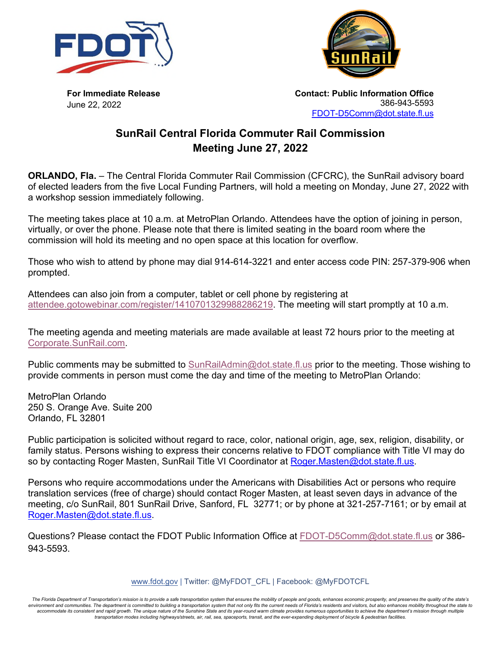



**For Immediate Release** June 22, 2022

**Contact: Public Information Office** 386-943-5593 [FDOT-D5Comm@dot.state.fl.us](mailto:FDOT-D5Comm@dot.state.fl.us)

## **SunRail Central Florida Commuter Rail Commission Meeting June 27, 2022**

**ORLANDO, Fla.** – The Central Florida Commuter Rail Commission (CFCRC), the SunRail advisory board of elected leaders from the five Local Funding Partners, will hold a meeting on Monday, June 27, 2022 with a workshop session immediately following.

The meeting takes place at 10 a.m. at MetroPlan Orlando. Attendees have the option of joining in person, virtually, or over the phone. Please note that there is limited seating in the board room where the commission will hold its meeting and no open space at this location for overflow.

Those who wish to attend by phone may dial 914-614-3221 and enter access code PIN: 257-379-906 when prompted.

Attendees can also join from a computer, tablet or cell phone by registering at [attendee.gotowebinar.com/register/1410701329988286219.](https://attendee.gotowebinar.com/register/1410701329988286219) The meeting will start promptly at 10 a.m.

The meeting agenda and meeting materials are made available at least 72 hours prior to the meeting at [Corporate.SunRail.com.](https://corporate.sunrail.com/)

Public comments may be submitted to [SunRailAdmin@dot.state.fl.us](mailto:SunRailAdmin@dot.state.fl.us) prior to the meeting. Those wishing to provide comments in person must come the day and time of the meeting to MetroPlan Orlando:

MetroPlan Orlando 250 S. Orange Ave. Suite 200 Orlando, FL 32801

Public participation is solicited without regard to race, color, national origin, age, sex, religion, disability, or family status. Persons wishing to express their concerns relative to FDOT compliance with Title VI may do so by contacting Roger Masten, SunRail Title VI Coordinator at [Roger.Masten@dot.state.fl.us.](mailto:Roger.Masten@dot.state.fl.us)

Persons who require accommodations under the Americans with Disabilities Act or persons who require translation services (free of charge) should contact Roger Masten, at least seven days in advance of the meeting, c/o SunRail, 801 SunRail Drive, Sanford, FL 32771; or by phone at 321-257-7161; or by email at [Roger.Masten@dot.state.fl.us.](mailto:Roger.Masten@dot.state.fl.us)

Questions? Please contact the FDOT Public Information Office at [FDOT-D5Comm@dot.state.fl.us](mailto:FDOT-D5Comm@dot.state.fl.us) or 386- 943-5593.

## [www.fdot.gov](http://www.fdot.gov/) | Twitter: @MyFDOT\_CFL | Facebook: @MyFDOTCFL

*The Florida Department of Transportation's mission is to provide a safe transportation system that ensures the mobility of people and goods, enhances economic prosperity, and preserves the quality of the state's*  environment and communities. The department is committed to building a transportation system that not only fits the current needs of Florida's residents and visitors, but also enhances mobility throughout the state to accommodate its consistent and rapid growth. The unique nature of the Sunshine State and its year-round warm climate provides numerous opportunities to achieve the department's mission through multiple *transportation modes including highways/streets, air, rail, sea, spaceports, transit, and the ever-expanding deployment of bicycle & pedestrian facilities.*